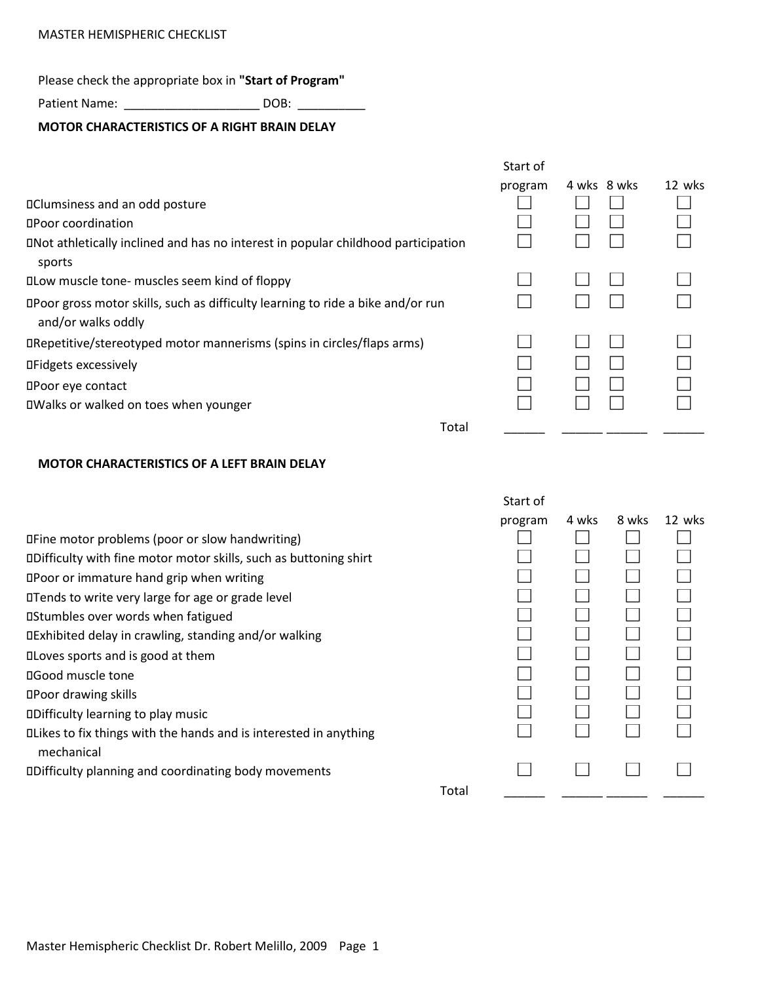# MASTER HEMISPHERIC CHECKLIST

Please check the appropriate box in **"Start of Program"**

Patient Name: \_\_\_\_\_\_\_\_\_\_\_\_\_\_\_\_\_\_\_\_\_\_\_\_\_\_ DOB: \_\_\_\_\_\_\_\_\_\_\_\_

## **MOTOR CHARACTERISTICS OF A RIGHT BRAIN DELAY**

|                                                                                                       | Start of |             |        |
|-------------------------------------------------------------------------------------------------------|----------|-------------|--------|
|                                                                                                       | program  | 4 wks 8 wks | 12 wks |
| <b>IClumsiness and an odd posture</b>                                                                 |          |             |        |
| <b>OPoor coordination</b>                                                                             |          |             |        |
| DNot athletically inclined and has no interest in popular childhood participation<br>sports           |          |             |        |
| DLow muscle tone- muscles seem kind of floppy                                                         |          |             |        |
| DPoor gross motor skills, such as difficulty learning to ride a bike and/or run<br>and/or walks oddly |          |             |        |
| DRepetitive/stereotyped motor mannerisms (spins in circles/flaps arms)                                |          |             |        |
| <b>OFidgets excessively</b>                                                                           |          |             |        |
| <b>OPoor eye contact</b>                                                                              |          |             |        |
| DWalks or walked on toes when younger                                                                 |          |             |        |
| Total                                                                                                 |          |             |        |

## **MOTOR CHARACTERISTICS OF A LEFT BRAIN DELAY**

|                                                                                        |       | Start of |       |       |        |
|----------------------------------------------------------------------------------------|-------|----------|-------|-------|--------|
|                                                                                        |       | program  | 4 wks | 8 wks | 12 wks |
| Deline motor problems (poor or slow handwriting)                                       |       |          |       |       |        |
| DDifficulty with fine motor motor skills, such as buttoning shirt                      |       |          |       |       |        |
| DPoor or immature hand grip when writing                                               |       |          |       |       |        |
| <b>ITends to write very large for age or grade level</b>                               |       |          |       |       |        |
| <b>Ostumbles over words when fatigued</b>                                              |       |          |       |       |        |
| DExhibited delay in crawling, standing and/or walking                                  |       |          |       |       |        |
| <b>ILOVES SPORTS and is good at them</b>                                               |       |          |       |       |        |
| <b>OGood muscle tone</b>                                                               |       |          |       |       |        |
| <b>OPoor drawing skills</b>                                                            |       |          |       |       |        |
| <b>ODifficulty learning to play music</b>                                              |       |          |       |       |        |
| <b>ILikes to fix things with the hands and is interested in anything</b><br>mechanical |       |          |       |       |        |
| DDifficulty planning and coordinating body movements                                   |       |          |       |       |        |
|                                                                                        | Total |          |       |       |        |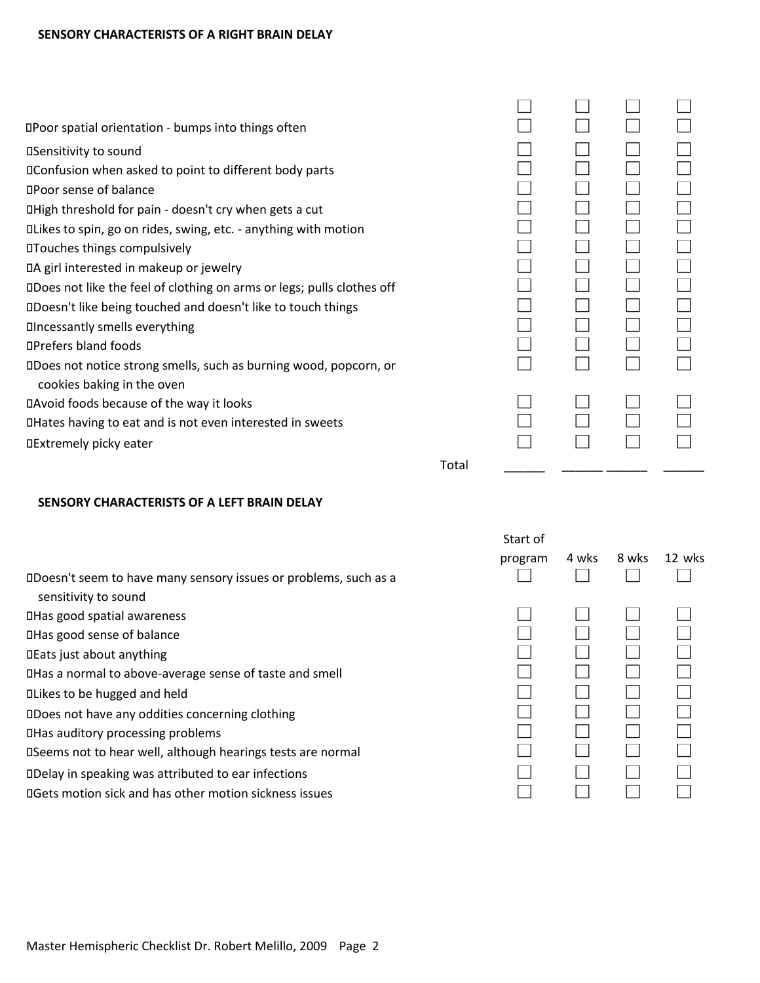| DPoor spatial orientation - bumps into things often                    |       |  |  |
|------------------------------------------------------------------------|-------|--|--|
| <b>ISensitivity to sound</b>                                           |       |  |  |
| DConfusion when asked to point to different body parts                 |       |  |  |
| <b>OPoor sense of balance</b>                                          |       |  |  |
| DHigh threshold for pain - doesn't cry when gets a cut                 |       |  |  |
| DLikes to spin, go on rides, swing, etc. - anything with motion        |       |  |  |
| <b>ITouches things compulsively</b>                                    |       |  |  |
| DA girl interested in makeup or jewelry                                |       |  |  |
| DDoes not like the feel of clothing on arms or legs; pulls clothes off |       |  |  |
| DDoesn't like being touched and doesn't like to touch things           |       |  |  |
| <b>Oncessantly smells everything</b>                                   |       |  |  |
| <b>OPrefers bland foods</b>                                            |       |  |  |
| DDoes not notice strong smells, such as burning wood, popcorn, or      |       |  |  |
| cookies baking in the oven                                             |       |  |  |
| DAvoid foods because of the way it looks                               |       |  |  |
| DHates having to eat and is not even interested in sweets              |       |  |  |
| <b>IExtremely picky eater</b>                                          |       |  |  |
|                                                                        | Total |  |  |

# **SENSORY CHARACTERISTS OF A LEFT BRAIN DELAY**

Has a normal to above-average sense of taste and smell

sensitivity to sound

Has good spatial awareness Has good sense of balance Eats just about anything

Likes to be hugged and held

| Start of<br>program | 4 wks | 8 wks 12 wks |
|---------------------|-------|--------------|
|                     |       |              |

| DDoes not have any oddities concerning clothing             |  |  |
|-------------------------------------------------------------|--|--|
| <b>IHas auditory processing problems</b>                    |  |  |
| DSeems not to hear well, although hearings tests are normal |  |  |
| DDelay in speaking was attributed to ear infections         |  |  |
| DGets motion sick and has other motion sickness issues      |  |  |
|                                                             |  |  |
|                                                             |  |  |
|                                                             |  |  |

Doesn't seem to have many sensory issues or problems, such as a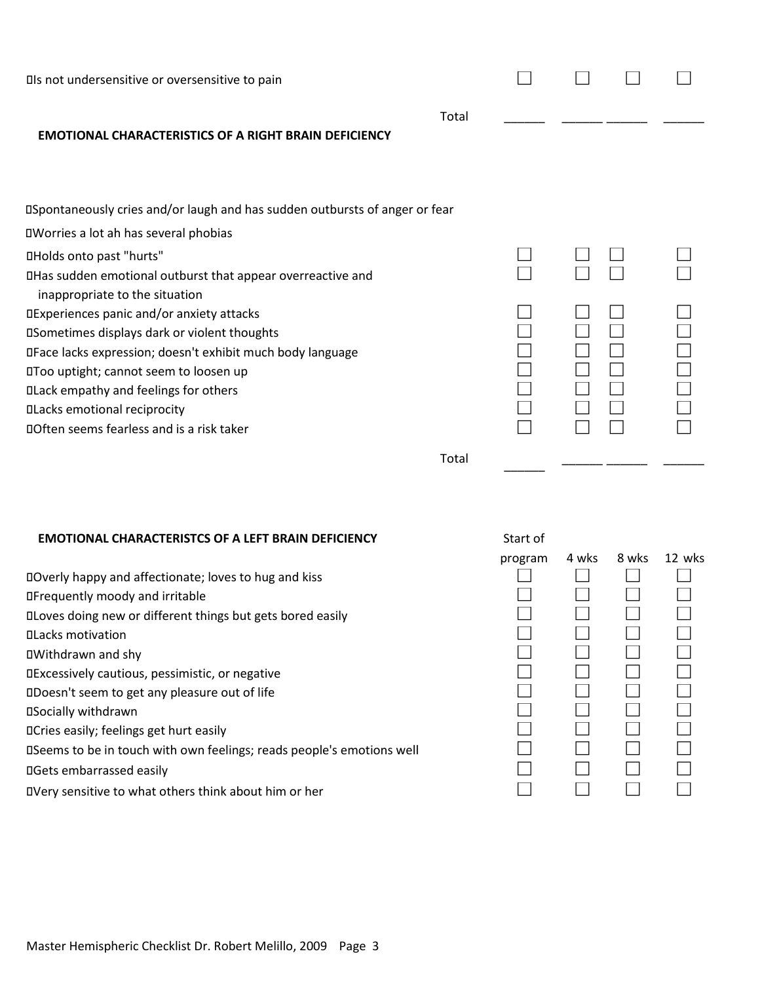| Ils not undersensitive or oversensitive to pain                             |       |  |  |
|-----------------------------------------------------------------------------|-------|--|--|
| <b>EMOTIONAL CHARACTERISTICS OF A RIGHT BRAIN DEFICIENCY</b>                | Total |  |  |
| DSpontaneously cries and/or laugh and has sudden outbursts of anger or fear |       |  |  |
| <b>I</b> Worries a lot ah has several phobias                               |       |  |  |
| <b><i>OHolds onto past "hurts"</i></b>                                      |       |  |  |
| DHas sudden emotional outburst that appear overreactive and                 |       |  |  |
| inappropriate to the situation                                              |       |  |  |
| DExperiences panic and/or anxiety attacks                                   |       |  |  |
| <b>ISometimes displays dark or violent thoughts</b>                         |       |  |  |
| DFace lacks expression; doesn't exhibit much body language                  |       |  |  |
| DToo uptight; cannot seem to loosen up                                      |       |  |  |
| <b>OLack empathy and feelings for others</b>                                |       |  |  |
| <b>ILacks emotional reciprocity</b>                                         |       |  |  |
| DOften seems fearless and is a risk taker                                   |       |  |  |
|                                                                             | Total |  |  |

## **EMOTIONAL CHARACTERISTCS OF A LEFT BRAIN DEFICIENCY**

| DOverly happy and affectionate; loves to hug and kiss                 |  |  |
|-----------------------------------------------------------------------|--|--|
| <b>OFrequently moody and irritable</b>                                |  |  |
| <b>ILoves doing new or different things but gets bored easily</b>     |  |  |
| <b>OLacks motivation</b>                                              |  |  |
| <b>OWithdrawn and shy</b>                                             |  |  |
| DExcessively cautious, pessimistic, or negative                       |  |  |
| DDoesn't seem to get any pleasure out of life                         |  |  |
| <b>OSocially withdrawn</b>                                            |  |  |
| <b>OCries easily; feelings get hurt easily</b>                        |  |  |
| DSeems to be in touch with own feelings; reads people's emotions well |  |  |
| <b>IIGets embarrassed easily</b>                                      |  |  |
| DVery sensitive to what others think about him or her                 |  |  |

| Start of |       |              |
|----------|-------|--------------|
| program  | 4 wks | 8 wks 12 wks |
|          |       |              |
|          |       |              |
|          |       |              |
|          |       |              |
|          |       |              |
|          |       |              |
|          |       |              |
|          |       |              |
|          |       |              |
|          |       |              |
|          |       |              |
|          |       |              |

 $\overline{\phantom{a}}$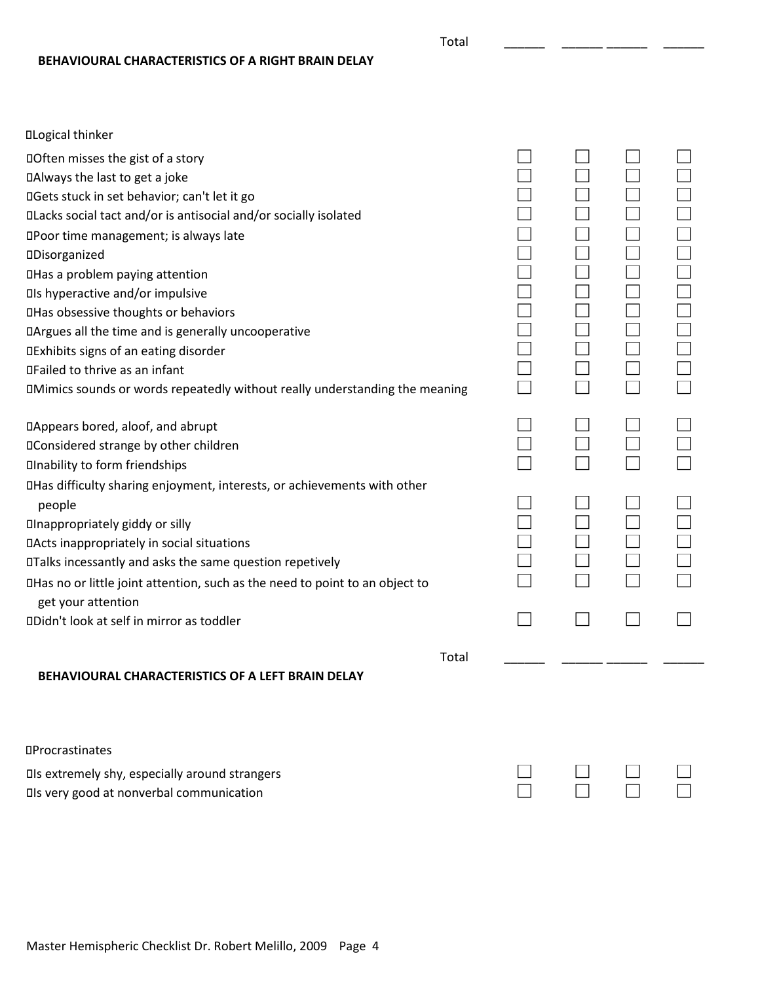**BEHAVIOURAL CHARACTERISTICS OF A RIGHT BRAIN DELAY**

| <b>OLogical thinker</b>                                                            |  |  |
|------------------------------------------------------------------------------------|--|--|
| <b>Often misses the gist of a story</b>                                            |  |  |
| DAlways the last to get a joke                                                     |  |  |
| DGets stuck in set behavior; can't let it go                                       |  |  |
| DLacks social tact and/or is antisocial and/or socially isolated                   |  |  |
| DPoor time management; is always late                                              |  |  |
| <b>ODisorganized</b>                                                               |  |  |
| <b>OHas a problem paying attention</b>                                             |  |  |
| <b>Ols hyperactive and/or impulsive</b>                                            |  |  |
| <b>QHas obsessive thoughts or behaviors</b>                                        |  |  |
| DArgues all the time and is generally uncooperative                                |  |  |
| <b>IExhibits signs of an eating disorder</b>                                       |  |  |
| <b>□Failed to thrive as an infant</b>                                              |  |  |
| <b>IMimics sounds or words repeatedly without really understanding the meaning</b> |  |  |
| DAppears bored, aloof, and abrupt                                                  |  |  |
| <b>IIConsidered strange by other children</b>                                      |  |  |
| <b>Olnability to form friendships</b>                                              |  |  |
| DHas difficulty sharing enjoyment, interests, or achievements with other           |  |  |
| people                                                                             |  |  |
| <b>Inappropriately giddy or silly</b>                                              |  |  |
| DActs inappropriately in social situations                                         |  |  |
| DTalks incessantly and asks the same question repetively                           |  |  |
| DHas no or little joint attention, such as the need to point to an object to       |  |  |
| get your attention                                                                 |  |  |
| DDidn't look at self in mirror as toddler                                          |  |  |
| Total                                                                              |  |  |
| BEHAVIOURAL CHARACTERISTICS OF A LEFT BRAIN DELAY                                  |  |  |
|                                                                                    |  |  |
| <b>OProcrastinates</b>                                                             |  |  |
| <b>Is extremely shy, especially around strangers</b>                               |  |  |
| <b>Ils very good at nonverbal communication</b>                                    |  |  |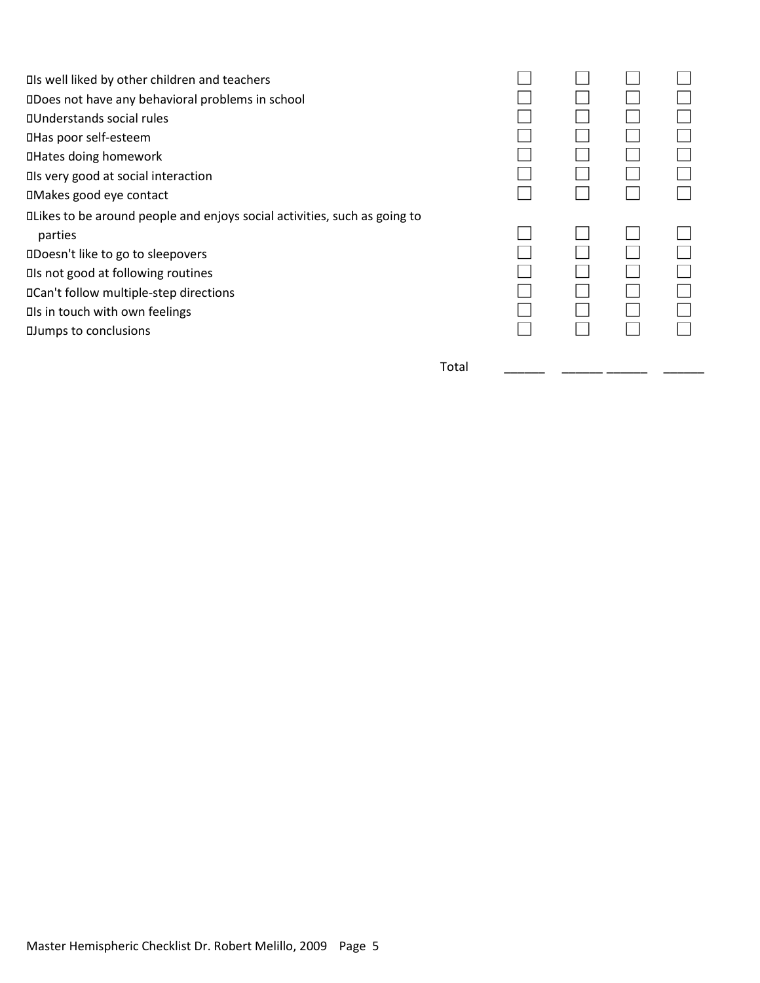$\Box$ Is well liked by other children and teachers  $\Box$ Does not have any behavioral problems in school Understands social rules Has poor self-esteem Hates doing homework  $\Box$  Is very good at social interaction Makes good eye contact Likes to be around people and enjoys social activities, such as going to  $\Box$   $\Box$   $\Box$   $\Box$ parties the contract of the contract of the contract of  $\Box$  .  $\Box$  .  $\Box$  .  $\Box$  .  $\Box$ Doesn't like to go to sleepovers  $\Box$ Is not good at following routines  $D\Box$   $D\Box$   $D\Box$   $D\Box$   $D\Box$   $D\Box$   $D\Box$   $D\Box$   $D\Box$   $D\Box$   $D\Box$   $D\Box$   $D\Box$   $D\Box$   $D\Box$   $D\Box$   $D\Box$   $D\Box$   $D\Box$   $D\Box$   $D\Box$   $D\Box$   $D\Box$   $D\Box$   $D\Box$   $D\Box$   $D\Box$   $D\Box$   $D\Box$   $D\Box$   $D\Box$   $D\Box$   $D\Box$   $D\Box$   $D\Box$   $D\Box$   $D\Box$  $\square$ Is in touch with own feelings  $\square$ Jumps to conclusions

Total \_\_\_\_\_\_\_\_ \_\_\_\_\_\_\_ \_\_\_\_\_\_\_ \_\_\_\_\_\_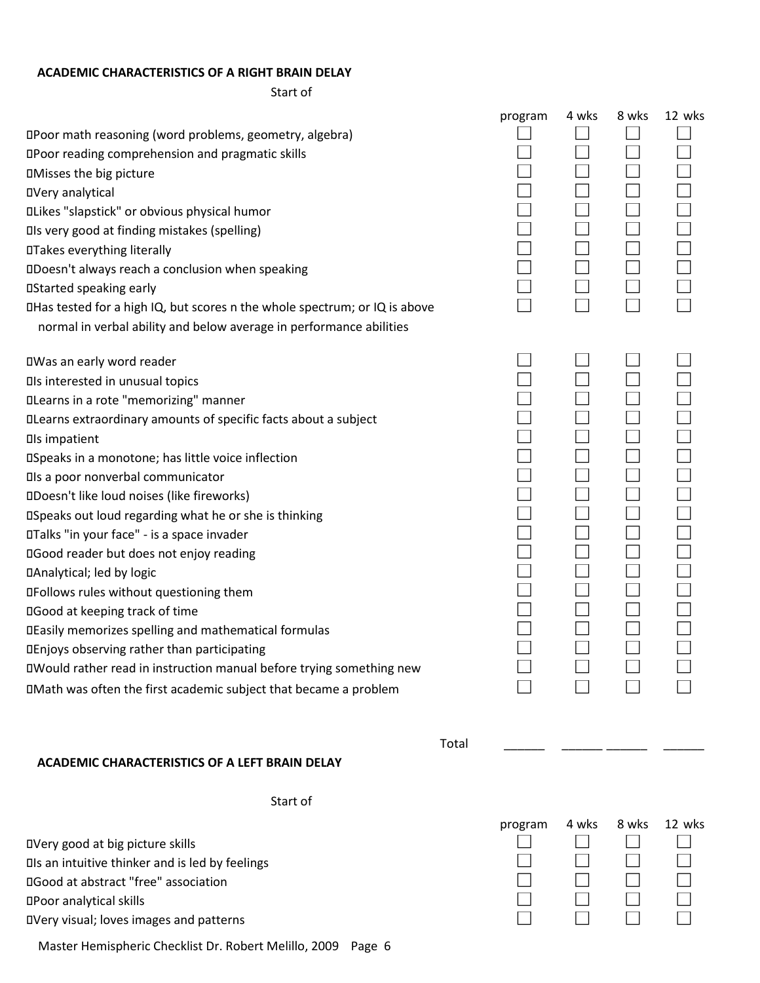#### **ACADEMIC CHARACTERISTICS OF A RIGHT BRAIN DELAY**

Start of

|                                                                            | program | 4 wks | 8 wks | 12 wks |
|----------------------------------------------------------------------------|---------|-------|-------|--------|
| DPoor math reasoning (word problems, geometry, algebra)                    |         |       |       |        |
| <b>OPoor reading comprehension and pragmatic skills</b>                    |         |       |       |        |
| <b>OMisses the big picture</b>                                             |         |       |       |        |
| <b>OVery analytical</b>                                                    |         |       |       |        |
| <b>ILikes "slapstick" or obvious physical humor</b>                        |         |       |       |        |
| <b>Ils very good at finding mistakes (spelling)</b>                        |         |       |       |        |
| <b>OTakes everything literally</b>                                         |         |       |       |        |
| DDoesn't always reach a conclusion when speaking                           |         |       |       |        |
| <b>OStarted speaking early</b>                                             |         |       |       |        |
| DHas tested for a high IQ, but scores n the whole spectrum; or IQ is above |         |       |       |        |
| normal in verbal ability and below average in performance abilities        |         |       |       |        |
| □Was an early word reader                                                  |         |       |       |        |
| <b>Ols interested in unusual topics</b>                                    |         |       |       |        |
| <b>ILearns in a rote "memorizing" manner</b>                               |         |       |       |        |
| DLearns extraordinary amounts of specific facts about a subject            |         |       |       |        |
| <b>Ols impatient</b>                                                       |         |       |       |        |
| <b>ISpeaks in a monotone; has little voice inflection</b>                  |         |       |       |        |
| <b>Ils a poor nonverbal communicator</b>                                   |         |       |       |        |
| <b>IDoesn't like loud noises (like fireworks)</b>                          |         |       |       |        |
| <b>ISpeaks out loud regarding what he or she is thinking</b>               |         |       |       |        |
| DTalks "in your face" - is a space invader                                 |         |       |       |        |
| <b>IIGood reader but does not enjoy reading</b>                            |         |       |       |        |
| DAnalytical; led by logic                                                  |         |       |       |        |
| <b>IFollows rules without questioning them</b>                             |         |       |       |        |
| <b>IGood at keeping track of time</b>                                      |         |       |       |        |
| DEasily memorizes spelling and mathematical formulas                       |         |       |       |        |
| DEnjoys observing rather than participating                                |         |       |       |        |
| DWould rather read in instruction manual before trying something new       |         |       |       |        |
| DMath was often the first academic subject that became a problem           |         |       |       |        |
|                                                                            |         |       |       |        |

#### **ACADEMIC CHARACTERISTICS OF A LEFT BRAIN DELAY**

Total \_\_\_\_\_\_\_ \_\_\_\_\_\_\_

Start of

Very good at big picture skills Is an intuitive thinker and is led by feelings Good at abstract "free" association Poor analytical skills Very visual; loves images and patterns

Master Hemispheric Checklist Dr. Robert Melillo, 2009 Page 6

| program | 4 wks | 8 wks | 12 wks |
|---------|-------|-------|--------|
|         |       |       |        |
|         |       |       |        |
|         |       |       |        |
|         |       |       |        |
|         |       |       |        |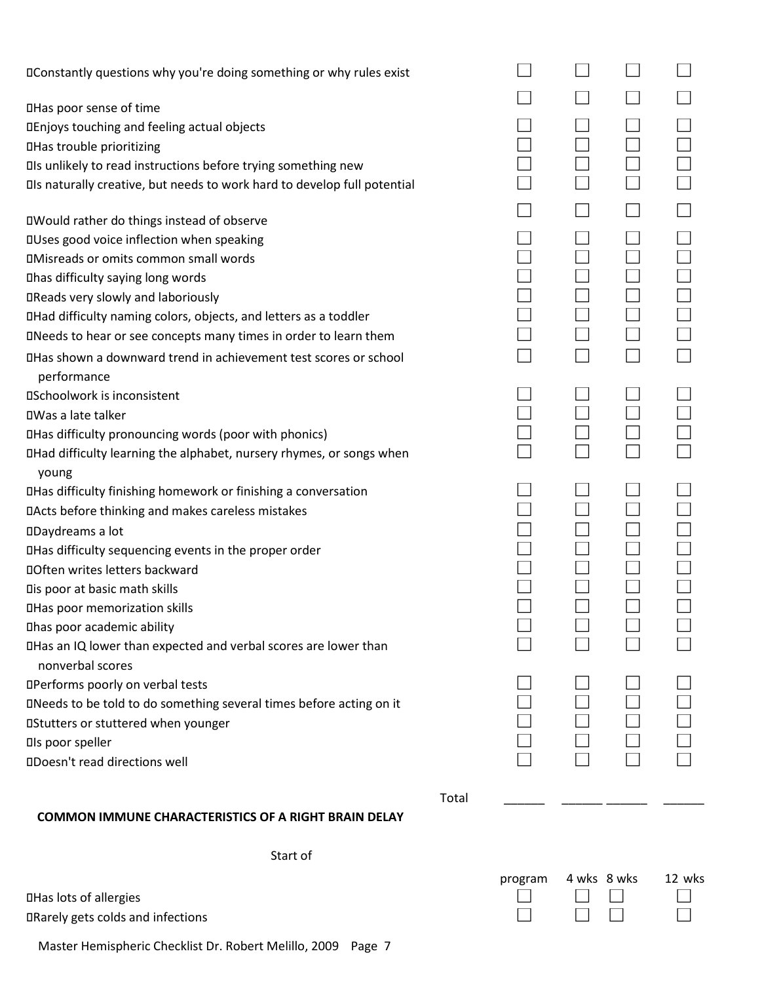| DConstantly questions why you're doing something or why rules exist                 |       |  |  |
|-------------------------------------------------------------------------------------|-------|--|--|
|                                                                                     |       |  |  |
| <b>OHas poor sense of time</b>                                                      |       |  |  |
| DEnjoys touching and feeling actual objects                                         |       |  |  |
| <b>OHas trouble prioritizing</b>                                                    |       |  |  |
| DIs unlikely to read instructions before trying something new                       |       |  |  |
| DIs naturally creative, but needs to work hard to develop full potential            |       |  |  |
| <b>IWould rather do things instead of observe</b>                                   |       |  |  |
| <b>IUses good voice inflection when speaking</b>                                    |       |  |  |
| <b>IMisreads or omits common small words</b>                                        |       |  |  |
| Dhas difficulty saying long words                                                   |       |  |  |
| <b>IReads very slowly and laboriously</b>                                           |       |  |  |
| DHad difficulty naming colors, objects, and letters as a toddler                    |       |  |  |
| DNeeds to hear or see concepts many times in order to learn them                    |       |  |  |
| DHas shown a downward trend in achievement test scores or school                    |       |  |  |
| performance                                                                         |       |  |  |
| <b><i><u>OSchoolwork</u></i></b> is inconsistent                                    |       |  |  |
| <b>□Was a late talker</b>                                                           |       |  |  |
| <b>ITHAS difficulty pronouncing words (poor with phonics)</b>                       |       |  |  |
| DHad difficulty learning the alphabet, nursery rhymes, or songs when<br>young       |       |  |  |
| DHas difficulty finishing homework or finishing a conversation                      |       |  |  |
| DActs before thinking and makes careless mistakes                                   |       |  |  |
| <b>ODaydreams a lot</b>                                                             |       |  |  |
| DHas difficulty sequencing events in the proper order                               |       |  |  |
| <b>Often writes letters backward</b>                                                |       |  |  |
| Dis poor at basic math skills                                                       |       |  |  |
| <b>OHas poor memorization skills</b>                                                |       |  |  |
| Dhas poor academic ability                                                          |       |  |  |
| DHas an IQ lower than expected and verbal scores are lower than<br>nonverbal scores |       |  |  |
| <b>IPerforms poorly on verbal tests</b>                                             |       |  |  |
| DNeeds to be told to do something several times before acting on it                 |       |  |  |
| <b>OStutters or stuttered when younger</b>                                          |       |  |  |
| <b>Ols poor speller</b>                                                             |       |  |  |
| <b><i>ODoesn't read directions well</i></b>                                         |       |  |  |
|                                                                                     |       |  |  |
|                                                                                     | Total |  |  |
| <b>COMMON IMMUNE CHARACTERISTICS OF A RIGHT BRAIN DELAY</b>                         |       |  |  |
| Start of                                                                            |       |  |  |

program 4 wks 8 wks 12 wks

 $\Box$   $\Box$ DRarely gets colds and infections  $\Box$ 

Master Hemispheric Checklist Dr. Robert Melillo, 2009 Page 7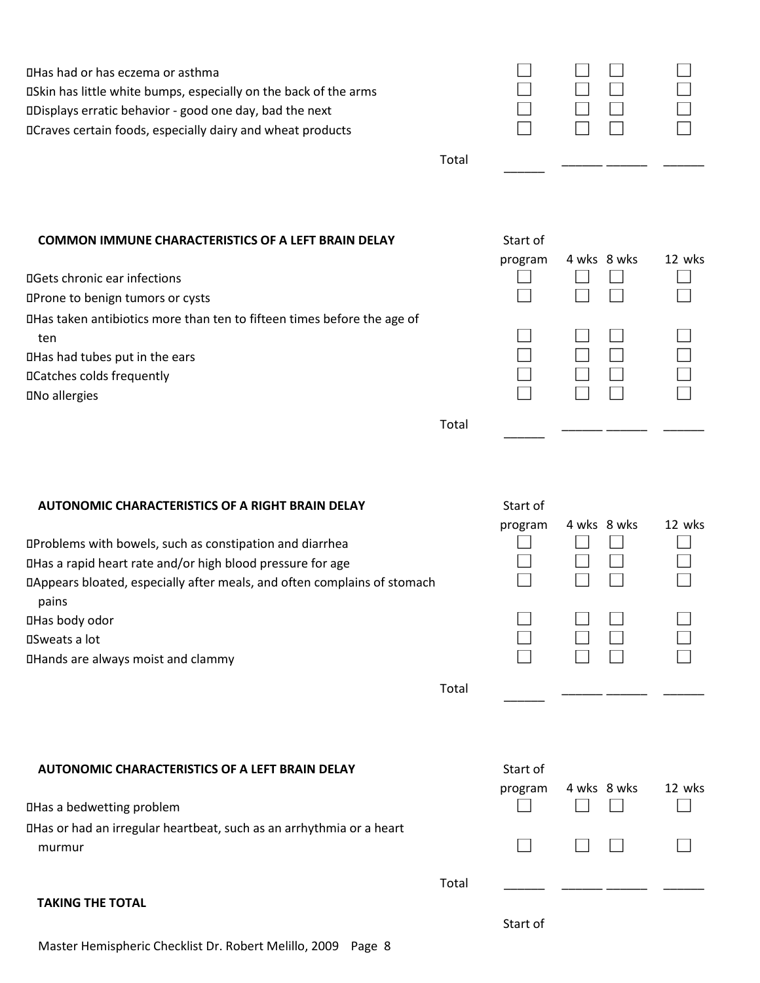| DHas had or has eczema or asthma<br><b>OSkin has little white bumps, especially on the back of the arms</b><br>DDisplays erratic behavior - good one day, bad the next<br>DCraves certain foods, especially dairy and wheat products |       |                     |             |        |
|--------------------------------------------------------------------------------------------------------------------------------------------------------------------------------------------------------------------------------------|-------|---------------------|-------------|--------|
|                                                                                                                                                                                                                                      | Total |                     |             |        |
| <b>COMMON IMMUNE CHARACTERISTICS OF A LEFT BRAIN DELAY</b><br><b>IIGets chronic ear infections</b><br><b>OProne to benign tumors or cysts</b>                                                                                        |       | Start of<br>program | 4 wks 8 wks | 12 wks |
| DHas taken antibiotics more than ten to fifteen times before the age of<br>ten<br><b>OHas had tubes put in the ears</b><br><b>ICatches colds frequently</b><br><b>DNo allergies</b>                                                  |       |                     |             |        |
|                                                                                                                                                                                                                                      | Total |                     |             |        |

## **AUTONOMIC CHARACTERISTICS OF A RIGHT BRAIN DELAY**

| <b>IProblems with bowels, such as constipation and diarrhea</b>          |  |  |
|--------------------------------------------------------------------------|--|--|
| DHas a rapid heart rate and/or high blood pressure for age               |  |  |
| DAppears bloated, especially after meals, and often complains of stomach |  |  |
| pains                                                                    |  |  |
| <b>□Has body odor</b>                                                    |  |  |
| <b>□Sweats a lot</b>                                                     |  |  |
| <b>IHands are always moist and clammy</b>                                |  |  |

Total

### **AUTONOMIC CHARACTERISTICS OF A LEFT BRAIN DELAY**

Has a bedwetting problem

Has or had an irregular heartbeat, such as an arrhythmia or a heart murmur  $\qquad \qquad \Box \qquad \Box \qquad \Box \qquad \Box$ 

#### **TAKING THE TOTAL**

Master Hemispheric Checklist Dr. Robert Melillo, 2009 Page 8

| Start of |             |        |
|----------|-------------|--------|
| program  | 4 wks 8 wks | 12 wks |
|          |             |        |
|          |             |        |
|          |             |        |
|          |             |        |
|          |             |        |
|          |             |        |
|          |             |        |
|          |             |        |
|          |             |        |

|       | Start of |                          |        |
|-------|----------|--------------------------|--------|
|       |          | program 4 wks 8 wks      | 12 wks |
|       |          |                          |        |
|       |          | $\Box$<br>$\blacksquare$ |        |
| Total |          |                          |        |

Start of